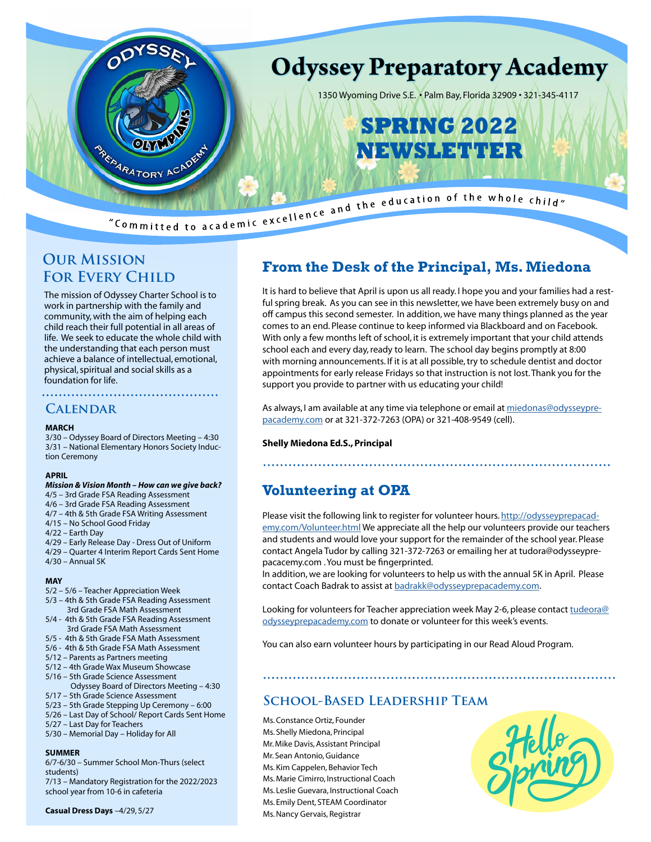

### **Our Mission FOR EVERY CHILD**

The mission of Odyssey Charter School is to work in partnership with the family and community, with the aim of helping each child reach their full potential in all areas of life. We seek to educate the whole child with the understanding that each person must achieve a balance of intellectual, emotional, physical, spiritual and social skills as a foundation for life.

#### **Calendar**

#### **MARCH**

3/30 – Odyssey Board of Directors Meeting – 4:30 3/31 – National Elementary Honors Society Induction Ceremony

#### **APRIL**

#### *Mission & Vision Month – How can we give back?*

- 4/5 3rd Grade FSA Reading Assessment
- 4/6 3rd Grade FSA Reading Assessment
- 4/7 4th & 5th Grade FSA Writing Assessment
- 4/15 No School Good Friday
- 4/22 Earth Day
- 4/29 Early Release Day Dress Out of Uniform
- 4/29 Quarter 4 Interim Report Cards Sent Home 4/30 – Annual 5K
- 

#### **MAY**

- 5/2 5/6 Teacher Appreciation Week
- 5/3 4th & 5th Grade FSA Reading Assessment 3rd Grade FSA Math Assessment
- 5/4 4th & 5th Grade FSA Reading Assessment 3rd Grade FSA Math Assessment
- 5/5 4th & 5th Grade FSA Math Assessment
- 5/6 4th & 5th Grade FSA Math Assessment
- 5/12 Parents as Partners meeting
- 5/12 4th Grade Wax Museum Showcase
- 5/16 5th Grade Science Assessment
- Odyssey Board of Directors Meeting 4:30 5/17 – 5th Grade Science Assessment
- 5/23 5th Grade Stepping Up Ceremony 6:00
- 5/26 Last Day of School/ Report Cards Sent Home
- 5/27 Last Day for Teachers
- 5/30 Memorial Day Holiday for All

#### **SUMMER**

6/7-6/30 – Summer School Mon-Thurs (select students)

7/13 – Mandatory Registration for the 2022/2023 school year from 10-6 in cafeteria

## **From the Desk of the Principal, Ms. Miedona**

It is hard to believe that April is upon us all ready. I hope you and your families had a restful spring break. As you can see in this newsletter, we have been extremely busy on and off campus this second semester. In addition, we have many things planned as the year comes to an end. Please continue to keep informed via Blackboard and on Facebook. With only a few months left of school, it is extremely important that your child attends school each and every day, ready to learn. The school day begins promptly at 8:00 with morning announcements. If it is at all possible, try to schedule dentist and doctor appointments for early release Fridays so that instruction is not lost. Thank you for the support you provide to partner with us educating your child!

As always, I am available at any time via telephone or email at [miedonas@odysseypre](mailto:miedonas%40odysseyprepacademy.com?subject=)[pacademy.com](mailto:miedonas%40odysseyprepacademy.com?subject=) or at 321-372-7263 (OPA) or 321-408-9549 (cell).

#### **Shelly Miedona Ed.S., Principal**

### **Volunteering at OPA**

Please visit the following link to register for volunteer hours. [http://odysseyprepacad](http://odysseyprepacademy.com/Volunteer.html)[emy.com/Volunteer.html](http://odysseyprepacademy.com/Volunteer.html) We appreciate all the help our volunteers provide our teachers and students and would love your support for the remainder of the school year. Please contact Angela Tudor by calling 321-372-7263 or emailing her at tudora@odysseyprepacacemy.com . You must be fingerprinted.

In addition, we are looking for volunteers to help us with the annual 5K in April. Please contact Coach Badrak to assist at [badrakk@odysseyprepacademy.com](mailto:badrakk%40odysseyprepacademy.com?subject=).

Looking for volunteers for Teacher appreciation week May 2-6, please contact [tudeora@](mailto:tudeora%40odysseyprepacademy.com?subject=) [odysseyprepacademy.com](mailto:tudeora%40odysseyprepacademy.com?subject=) to donate or volunteer for this week's events.

You can also earn volunteer hours by participating in our Read Aloud Program.

### **School-Based Leadership Team**

Ms. Constance Ortiz, Founder Ms. Shelly Miedona, Principal Mr. Mike Davis, Assistant Principal Mr. Sean Antonio, Guidance Ms. Kim Cappelen, Behavior Tech Ms. Marie Cimirro, Instructional Coach Ms. Leslie Guevara, Instructional Coach Ms. Emily Dent, STEAM Coordinator Ms. Nancy Gervais, Registrar

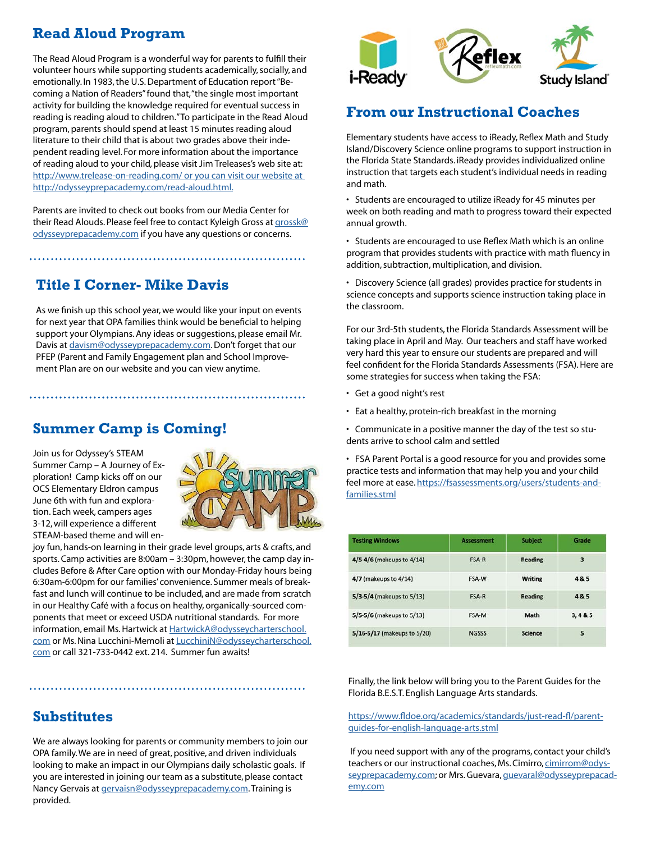# **Read Aloud Program**

The Read Aloud Program is a wonderful way for parents to fulfill their volunteer hours while supporting students academically, socially, and emotionally. In 1983, the U.S. Department of Education report "Becoming a Nation of Readers" found that, "the single most important activity for building the knowledge required for eventual success in reading is reading aloud to children." To participate in the Read Aloud program, parents should spend at least 15 minutes reading aloud literature to their child that is about two grades above their independent reading level. For more information about the importance of reading aloud to your child, please visit Jim Treleases's web site at: http://www.trelease-on-reading.com/ or you can visit our website at [http://odysseyprepacademy.com/read-aloud.html.](http://www.trelease-on-reading.com/ or you can visit our website at http://odysseyprepacademy.com/read-aloud.html.)

Parents are invited to check out books from our Media Center for their Read Alouds. Please feel free to contact Kyleigh Gross at [grossk@](mailto:grossk%40odysseyprepacademy.com?subject=) [odysseyprepacademy.com](mailto:grossk%40odysseyprepacademy.com?subject=) if you have any questions or concerns.

## **Title I Corner- Mike Davis**

As we finish up this school year, we would like your input on events for next year that OPA families think would be beneficial to helping support your Olympians. Any ideas or suggestions, please email Mr. Davis at [davism@odysseyprepacademy.com](mailto:davism%40odysseyprepacademy.com?subject=). Don't forget that our PFEP (Parent and Family Engagement plan and School Improvement Plan are on our website and you can view anytime.

# **Summer Camp is Coming!**

Join us for Odyssey's STEAM Summer Camp – A Journey of Exploration! Camp kicks off on our OCS Elementary Eldron campus June 6th with fun and exploration. Each week, campers ages 3-12, will experience a different STEAM-based theme and will en-



joy fun, hands-on learning in their grade level groups, arts & crafts, and sports. Camp activities are 8:00am – 3:30pm, however, the camp day includes Before & After Care option with our Monday-Friday hours being 6:30am-6:00pm for our families' convenience. Summer meals of breakfast and lunch will continue to be included, and are made from scratch in our Healthy Café with a focus on healthy, organically-sourced components that meet or exceed USDA nutritional standards. For more information, email Ms. Hartwick at [HartwickA@odysseycharterschool.](mailto:HartwickA%40odysseycharterschool.com?subject=) [com](mailto:HartwickA%40odysseycharterschool.com?subject=) or Ms. Nina Lucchini-Memoli at [LucchiniN@odysseycharterschool.](mailto:LucchiniN%40odysseycharterschool.com?subject=Summer%20Camp) [com](mailto:LucchiniN%40odysseycharterschool.com?subject=Summer%20Camp) or call 321-733-0442 ext. 214. Summer fun awaits!

## **Substitutes**

We are always looking for parents or community members to join our OPA family. We are in need of great, positive, and driven individuals looking to make an impact in our Olympians daily scholastic goals. If you are interested in joining our team as a substitute, please contact Nancy Gervais at [gervaisn@odysseyprepacademy.com](mailto:gervaisn%40odysseyprepacademy.com?subject=). Training is provided.



### **From our Instructional Coaches**

Elementary students have access to iReady, Reflex Math and Study Island/Discovery Science online programs to support instruction in the Florida State Standards. iReady provides individualized online instruction that targets each student's individual needs in reading and math.

• Students are encouraged to utilize iReady for 45 minutes per week on both reading and math to progress toward their expected annual growth.

• Students are encouraged to use Reflex Math which is an online program that provides students with practice with math fluency in addition, subtraction, multiplication, and division.

• Discovery Science (all grades) provides practice for students in science concepts and supports science instruction taking place in the classroom.

For our 3rd-5th students, the Florida Standards Assessment will be taking place in April and May. Our teachers and staff have worked very hard this year to ensure our students are prepared and will feel confident for the Florida Standards Assessments (FSA). Here are some strategies for success when taking the FSA:

- Get a good night's rest
- Eat a healthy, protein-rich breakfast in the morning
- Communicate in a positive manner the day of the test so students arrive to school calm and settled

• FSA Parent Portal is a good resource for you and provides some practice tests and information that may help you and your child feel more at ease. [https://fsassessments.org/users/students-and](https://fsassessments.org/users/students-and-families.stml)[families.stml](https://fsassessments.org/users/students-and-families.stml)

| <b>Testing Windows</b><br>4/5-4/6 (makeups to 4/14)<br>4/7 (makeups to 4/14)<br>5/3-5/4 (makeups to 5/13)<br>5/5-5/6 (makeups to 5/13)<br>5/16-5/17 (makeups to 5/20) | <b>Assessment</b><br><b>FSA-R</b><br>FSA-W<br>FSA-R<br>FSA-M<br><b>NGSSS</b> | <b>Subject</b><br><b>Reading</b><br><b>Writing</b><br><b>Reading</b><br>Math<br><b>Science</b> | Grade<br>3<br>4& 5<br>4&5<br>3.485<br>5 |
|-----------------------------------------------------------------------------------------------------------------------------------------------------------------------|------------------------------------------------------------------------------|------------------------------------------------------------------------------------------------|-----------------------------------------|
|-----------------------------------------------------------------------------------------------------------------------------------------------------------------------|------------------------------------------------------------------------------|------------------------------------------------------------------------------------------------|-----------------------------------------|

Finally, the link below will bring you to the Parent Guides for the Florida B.E.S.T. English Language Arts standards.

[https://www.fldoe.org/academics/standards/just-read-fl/parent](https://www.fldoe.org/academics/standards/just-read-fl/parent-guides-for-english-language-arts.stml)[guides-for-english-language-arts.stml](https://www.fldoe.org/academics/standards/just-read-fl/parent-guides-for-english-language-arts.stml)

 If you need support with any of the programs, contact your child's teachers or our instructional coaches, Ms. Cimirro, [cimirrom@odys](mailto:cimirrom%40odysseyprepacademy.com?subject=)[seyprepacademy.com](mailto:cimirrom%40odysseyprepacademy.com?subject=); or Mrs. Guevara, [guevaral@odysseyprepacad](mailto:guevaral%40odysseyprepacademy.com?subject=)[emy.com](mailto:guevaral%40odysseyprepacademy.com?subject=)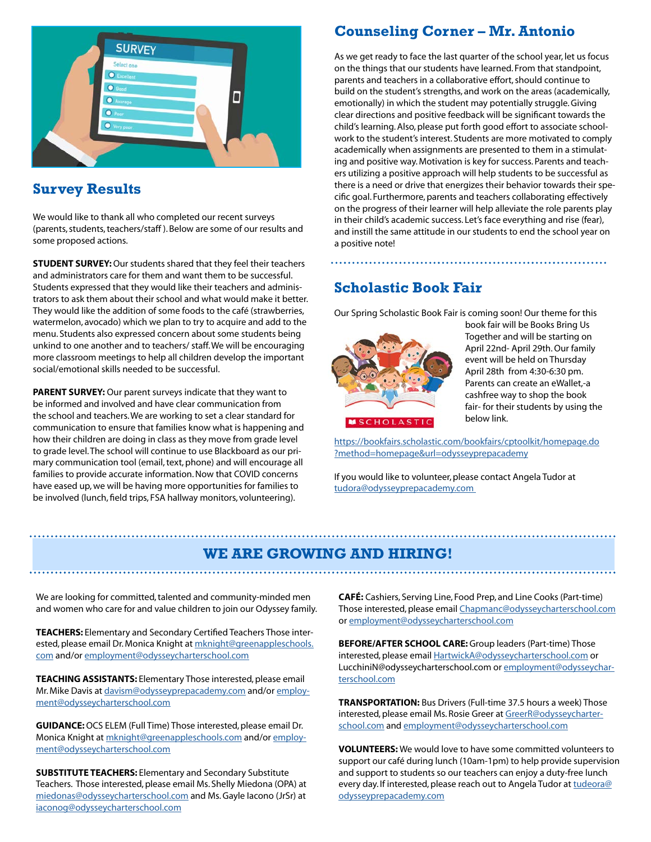

### **Survey Results**

We would like to thank all who completed our recent surveys (parents, students, teachers/staff ). Below are some of our results and some proposed actions.

**STUDENT SURVEY:** Our students shared that they feel their teachers and administrators care for them and want them to be successful. Students expressed that they would like their teachers and administrators to ask them about their school and what would make it better. They would like the addition of some foods to the café (strawberries, watermelon, avocado) which we plan to try to acquire and add to the menu. Students also expressed concern about some students being unkind to one another and to teachers/ staff. We will be encouraging more classroom meetings to help all children develop the important social/emotional skills needed to be successful.

**PARENT SURVEY:** Our parent surveys indicate that they want to be informed and involved and have clear communication from the school and teachers. We are working to set a clear standard for communication to ensure that families know what is happening and how their children are doing in class as they move from grade level to grade level. The school will continue to use Blackboard as our primary communication tool (email, text, phone) and will encourage all families to provide accurate information. Now that COVID concerns have eased up, we will be having more opportunities for families to be involved (lunch, field trips, FSA hallway monitors, volunteering).

## **Counseling Corner – Mr. Antonio**

As we get ready to face the last quarter of the school year, let us focus on the things that our students have learned. From that standpoint, parents and teachers in a collaborative effort, should continue to build on the student's strengths, and work on the areas (academically, emotionally) in which the student may potentially struggle. Giving clear directions and positive feedback will be significant towards the child's learning. Also, please put forth good effort to associate schoolwork to the student's interest. Students are more motivated to comply academically when assignments are presented to them in a stimulating and positive way. Motivation is key for success. Parents and teachers utilizing a positive approach will help students to be successful as there is a need or drive that energizes their behavior towards their specific goal. Furthermore, parents and teachers collaborating effectively on the progress of their learner will help alleviate the role parents play in their child's academic success. Let's face everything and rise (fear), and instill the same attitude in our students to end the school year on a positive note!

# **Scholastic Book Fair**

Our Spring Scholastic Book Fair is coming soon! Our theme for this



book fair will be Books Bring Us Together and will be starting on April 22nd- April 29th. Our family event will be held on Thursday April 28th from 4:30-6:30 pm. Parents can create an eWallet,-a cashfree way to shop the book fair- for their students by using the below link.

[https://bookfairs.scholastic.com/bookfairs/cptoolkit/homepage.do](https://bookfairs.scholastic.com/bookfairs/cptoolkit/homepage.do?method=homepage&url=odysseyprepacademy) [?method=homepage&url=odysseyprepacademy](https://bookfairs.scholastic.com/bookfairs/cptoolkit/homepage.do?method=homepage&url=odysseyprepacademy)

If you would like to volunteer, please contact Angela Tudor at [tudora@odysseyprepacademy.com](mailto:tudora%40odysseyprepacademy.com%20?subject=) 

### **WE ARE GROWING AND HIRING!**

We are looking for committed, talented and community-minded men and women who care for and value children to join our Odyssey family.

**TEACHERS:** Elementary and Secondary Certified Teachers Those interested, please email Dr. Monica Knight at [mknight@greenappleschools.](mailto:mknight%40greenappleschools.com?subject=) [com](mailto:mknight%40greenappleschools.com?subject=) and/or [employment@odysseycharterschool.com](mailto:employment%40odysseycharterschool.com?subject=)

**TEACHING ASSISTANTS:** Elementary Those interested, please email Mr. Mike Davis at [davism@odysseyprepacademy.com](mailto:davism%40odysseyprepacademy.com?subject=) and/or [employ](mailto:employment%40odysseycharterschool.com?subject=)[ment@odysseycharterschool.com](mailto:employment%40odysseycharterschool.com?subject=)

**GUIDANCE:** OCS ELEM (Full Time) Those interested, please email Dr. Monica Knight at [mknight@greenappleschools.com](mailto:mknight%40greenappleschools.com?subject=) and/or [employ](mailto:employment%40odysseycharterschool.com?subject=)[ment@odysseycharterschool.com](mailto:employment%40odysseycharterschool.com?subject=)

**SUBSTITUTE TEACHERS:** Elementary and Secondary Substitute Teachers. Those interested, please email Ms. Shelly Miedona (OPA) at [miedonas@odysseycharterschool.com](mailto:miedonas%40odysseycharterschool.com?subject=) and Ms. Gayle Iacono (JrSr) at [iaconog@odysseycharterschool.com](mailto:iaconog%40odysseycharterschool.com?subject=)

**CAFÉ:** Cashiers, Serving Line, Food Prep, and Line Cooks (Part-time) Those interested, please email [Chapmanc@odysseycharterschool.com](mailto:Chapmanc%40odysseycharterschool.com?subject=) or [employment@odysseycharterschool.com](mailto:employment%40odysseycharterschool.com?subject=)

**BEFORE/AFTER SCHOOL CARE:** Group leaders (Part-time) Those interested, please email [HartwickA@odysseycharterschool.com](mailto:HartwickA%40odysseycharterschool.com?subject=) or LucchiniN@odysseycharterschool.com or [employment@odysseychar](mailto:employment%40odysseycharterschool.com?subject=)[terschool.com](mailto:employment%40odysseycharterschool.com?subject=)

**TRANSPORTATION:** Bus Drivers (Full-time 37.5 hours a week) Those interested, please email Ms. Rosie Greer at [GreerR@odysseycharter](mailto:GreerR%40odysseycharterschool.com?subject=)[school.com](mailto:GreerR%40odysseycharterschool.com?subject=) and [employment@odysseycharterschool.com](mailto:employment%40odysseycharterschool.com?subject=)

**VOLUNTEERS:** We would love to have some committed volunteers to support our café during lunch (10am-1pm) to help provide supervision and support to students so our teachers can enjoy a duty-free lunch every day. If interested, please reach out to Angela Tudor at [tudeora@](mailto:tudeora%40odysseyprepacademy.com?subject=) [odysseyprepacademy.com](mailto:tudeora%40odysseyprepacademy.com?subject=)